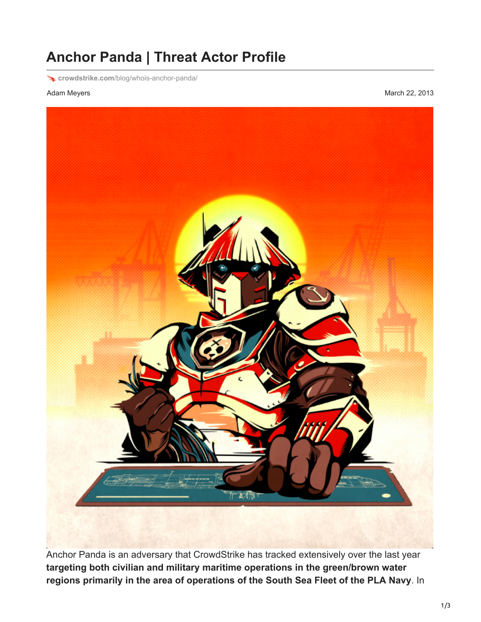## **Anchor Panda | Threat Actor Profile**

**crowdstrike.com**[/blog/whois-anchor-panda/](http://www.crowdstrike.com/blog/whois-anchor-panda/)

Adam Meyers March 22, 2013



Anchor Panda is an adversary that CrowdStrike has tracked extensively over the last year **targeting both civilian and military maritime operations in the green/brown water regions primarily in the area of operations of the South Sea Fleet of the PLA Navy**. In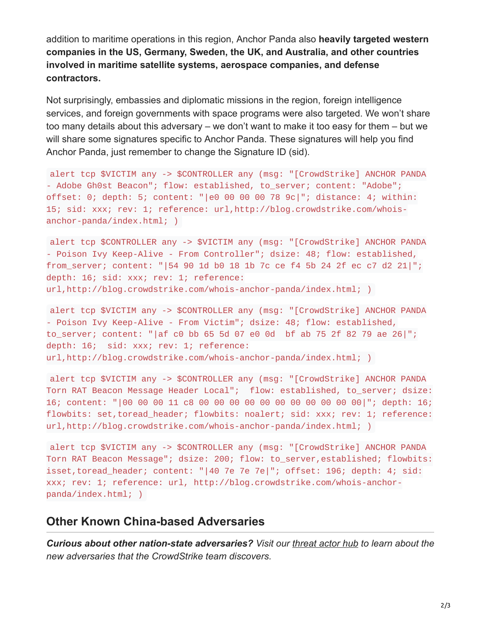addition to maritime operations in this region, Anchor Panda also **heavily targeted western companies in the US, Germany, Sweden, the UK, and Australia, and other countries involved in maritime satellite systems, aerospace companies, and defense contractors.**

Not surprisingly, embassies and diplomatic missions in the region, foreign intelligence services, and foreign governments with space programs were also targeted. We won't share too many details about this adversary – we don't want to make it too easy for them – but we will share some signatures specific to Anchor Panda. These signatures will help you find Anchor Panda, just remember to change the Signature ID (sid).

alert tcp \$VICTIM any -> \$CONTROLLER any (msg: "[CrowdStrike] ANCHOR PANDA - Adobe Gh0st Beacon"; flow: established, to\_server; content: "Adobe"; offset: 0; depth: 5; content: "|e0 00 00 00 78 9c|"; distance: 4; within: 15; sid: xxx; rev: 1; reference: url,http://blog.crowdstrike.com/whoisanchor-panda/index.html; )

alert tcp \$CONTROLLER any -> \$VICTIM any (msg: "[CrowdStrike] ANCHOR PANDA - Poison Ivy Keep-Alive - From Controller"; dsize: 48; flow: established, from\_server; content: "|54 90 1d b0 18 1b 7c ce f4 5b 24 2f ec c7 d2 21|"; depth: 16; sid: xxx; rev: 1; reference: url,http://blog.crowdstrike.com/whois-anchor-panda/index.html; )

alert tcp \$VICTIM any -> \$CONTROLLER any (msg: "[CrowdStrike] ANCHOR PANDA - Poison Ivy Keep-Alive - From Victim"; dsize: 48; flow: established, to\_server; content: "|af c0 bb 65 5d 07 e0 0d bf ab 75 2f 82 79 ae 26|"; depth: 16; sid: xxx; rev: 1; reference: url,http://blog.crowdstrike.com/whois-anchor-panda/index.html; )

alert tcp \$VICTIM any -> \$CONTROLLER any (msg: "[CrowdStrike] ANCHOR PANDA Torn RAT Beacon Message Header Local"; flow: established, to\_server; dsize: 16; content: "|00 00 00 11 c8 00 00 00 00 00 00 00 00 00 00 00|"; depth: 16; flowbits: set,toread\_header; flowbits: noalert; sid: xxx; rev: 1; reference: url,http://blog.crowdstrike.com/whois-anchor-panda/index.html; )

alert tcp \$VICTIM any -> \$CONTROLLER any (msg: "[CrowdStrike] ANCHOR PANDA Torn RAT Beacon Message"; dsize: 200; flow: to\_server,established; flowbits: isset,toread\_header; content: "|40 7e 7e 7e|"; offset: 196; depth: 4; sid: xxx; rev: 1; reference: url, http://blog.crowdstrike.com/whois-anchorpanda/index.html; )

## **Other Known China-based Adversaries**

*Curious about other nation-state adversaries? Visit our [threat actor hub](http://www.crowdstrike.com/blog/meet-the-adversaries/) to learn about the new adversaries that the CrowdStrike team discovers.*